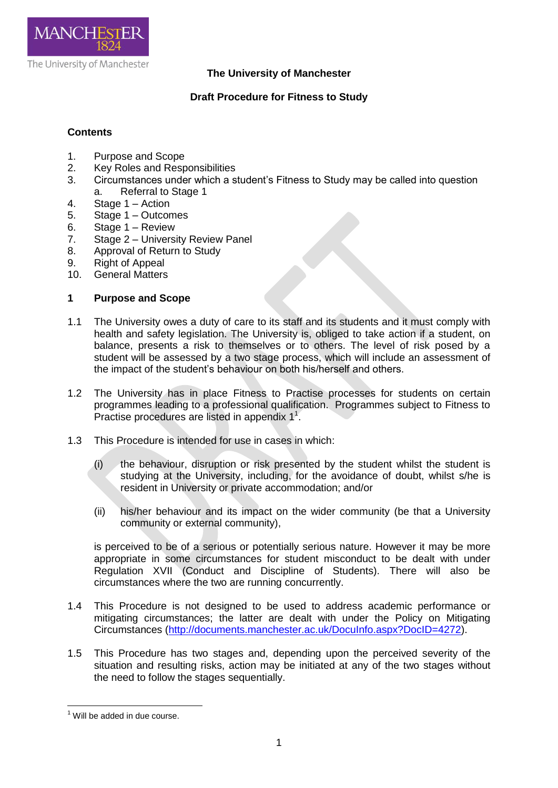

# **The University of Manchester**

# **Draft Procedure for Fitness to Study**

# **Contents**

- 1. Purpose and Scope
- 2. Key Roles and Responsibilities
- 3. Circumstances under which a student's Fitness to Study may be called into question a. Referral to Stage 1
- 4. Stage 1 Action
- 5. Stage 1 Outcomes
- 6. Stage 1 Review
- 7. Stage 2 University Review Panel
- 8. Approval of Return to Study
- 9. Right of Appeal
- 10. General Matters

## **1 Purpose and Scope**

- 1.1 The University owes a duty of care to its staff and its students and it must comply with health and safety legislation. The University is, obliged to take action if a student, on balance, presents a risk to themselves or to others. The level of risk posed by a student will be assessed by a two stage process, which will include an assessment of the impact of the student's behaviour on both his/herself and others.
- 1.2 The University has in place Fitness to Practise processes for students on certain programmes leading to a professional qualification. Programmes subject to Fitness to Practise procedures are listed in appendix  $1<sup>1</sup>$ .
- 1.3 This Procedure is intended for use in cases in which:
	- (i) the behaviour, disruption or risk presented by the student whilst the student is studying at the University, including, for the avoidance of doubt, whilst s/he is resident in University or private accommodation; and/or
	- (ii) his/her behaviour and its impact on the wider community (be that a University community or external community),

is perceived to be of a serious or potentially serious nature. However it may be more appropriate in some circumstances for student misconduct to be dealt with under Regulation XVII (Conduct and Discipline of Students). There will also be circumstances where the two are running concurrently.

- 1.4 This Procedure is not designed to be used to address academic performance or mitigating circumstances; the latter are dealt with under the Policy on Mitigating Circumstances [\(http://documents.manchester.ac.uk/DocuInfo.aspx?DocID=4272\)](http://documents.manchester.ac.uk/DocuInfo.aspx?DocID=4272).
- 1.5 This Procedure has two stages and, depending upon the perceived severity of the situation and resulting risks, action may be initiated at any of the two stages without the need to follow the stages sequentially.

**.** 

 $1$  Will be added in due course.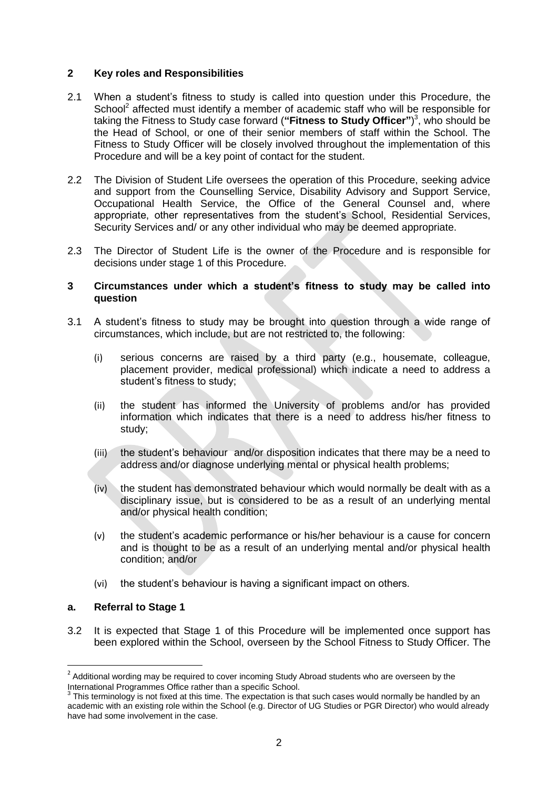## **2 Key roles and Responsibilities**

- 2.1 When a student's fitness to study is called into question under this Procedure, the School<sup>2</sup> affected must identify a member of academic staff who will be responsible for taking the Fitness to Study case forward (**"Fitness to Study Officer"**) 3 , who should be the Head of School, or one of their senior members of staff within the School. The Fitness to Study Officer will be closely involved throughout the implementation of this Procedure and will be a key point of contact for the student.
- 2.2 The Division of Student Life oversees the operation of this Procedure, seeking advice and support from the Counselling Service, Disability Advisory and Support Service, Occupational Health Service, the Office of the General Counsel and, where appropriate, other representatives from the student's School, Residential Services, Security Services and/ or any other individual who may be deemed appropriate.
- 2.3 The Director of Student Life is the owner of the Procedure and is responsible for decisions under stage 1 of this Procedure.

### **3 Circumstances under which a student's fitness to study may be called into question**

- 3.1 A student's fitness to study may be brought into question through a wide range of circumstances, which include, but are not restricted to, the following:
	- (i) serious concerns are raised by a third party (e.g., housemate, colleague, placement provider, medical professional) which indicate a need to address a student's fitness to study;
	- (ii) the student has informed the University of problems and/or has provided information which indicates that there is a need to address his/her fitness to study;
	- (iii) the student's behaviour and/or disposition indicates that there may be a need to address and/or diagnose underlying mental or physical health problems;
	- (iv) the student has demonstrated behaviour which would normally be dealt with as a disciplinary issue, but is considered to be as a result of an underlying mental and/or physical health condition;
	- (v) the student's academic performance or his/her behaviour is a cause for concern and is thought to be as a result of an underlying mental and/or physical health condition; and/or
	- (vi) the student's behaviour is having a significant impact on others.

#### **a. Referral to Stage 1**

3.2 It is expected that Stage 1 of this Procedure will be implemented once support has been explored within the School, overseen by the School Fitness to Study Officer. The

 2 Additional wording may be required to cover incoming Study Abroad students who are overseen by the International Programmes Office rather than a specific School.

<sup>3</sup> This terminology is not fixed at this time. The expectation is that such cases would normally be handled by an academic with an existing role within the School (e.g. Director of UG Studies or PGR Director) who would already have had some involvement in the case.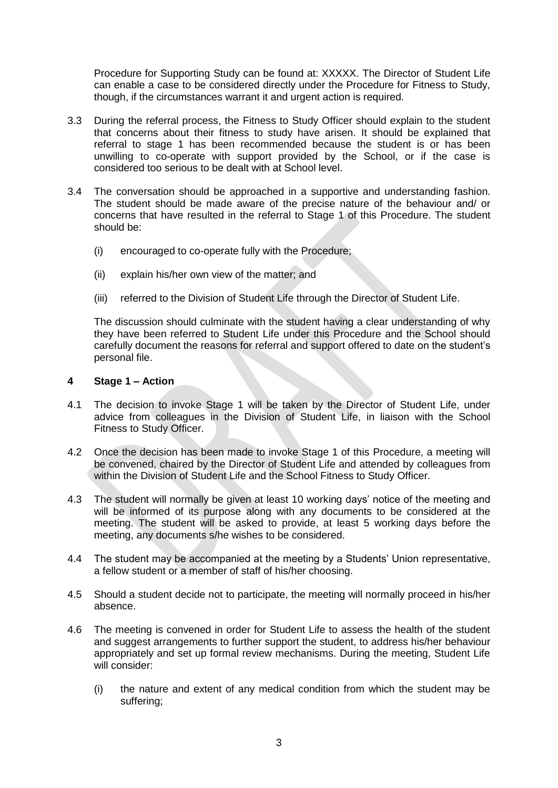Procedure for Supporting Study can be found at: XXXXX. The Director of Student Life can enable a case to be considered directly under the Procedure for Fitness to Study, though, if the circumstances warrant it and urgent action is required.

- 3.3 During the referral process, the Fitness to Study Officer should explain to the student that concerns about their fitness to study have arisen. It should be explained that referral to stage 1 has been recommended because the student is or has been unwilling to co-operate with support provided by the School, or if the case is considered too serious to be dealt with at School level.
- 3.4 The conversation should be approached in a supportive and understanding fashion. The student should be made aware of the precise nature of the behaviour and/ or concerns that have resulted in the referral to Stage 1 of this Procedure. The student should be:
	- (i) encouraged to co-operate fully with the Procedure;
	- (ii) explain his/her own view of the matter; and
	- (iii) referred to the Division of Student Life through the Director of Student Life.

The discussion should culminate with the student having a clear understanding of why they have been referred to Student Life under this Procedure and the School should carefully document the reasons for referral and support offered to date on the student's personal file.

## **4 Stage 1 – Action**

- 4.1 The decision to invoke Stage 1 will be taken by the Director of Student Life, under advice from colleagues in the Division of Student Life, in liaison with the School Fitness to Study Officer.
- 4.2 Once the decision has been made to invoke Stage 1 of this Procedure, a meeting will be convened, chaired by the Director of Student Life and attended by colleagues from within the Division of Student Life and the School Fitness to Study Officer.
- 4.3 The student will normally be given at least 10 working days' notice of the meeting and will be informed of its purpose along with any documents to be considered at the meeting. The student will be asked to provide, at least 5 working days before the meeting, any documents s/he wishes to be considered.
- 4.4 The student may be accompanied at the meeting by a Students' Union representative, a fellow student or a member of staff of his/her choosing.
- 4.5 Should a student decide not to participate, the meeting will normally proceed in his/her absence.
- 4.6 The meeting is convened in order for Student Life to assess the health of the student and suggest arrangements to further support the student, to address his/her behaviour appropriately and set up formal review mechanisms. During the meeting, Student Life will consider:
	- (i) the nature and extent of any medical condition from which the student may be suffering;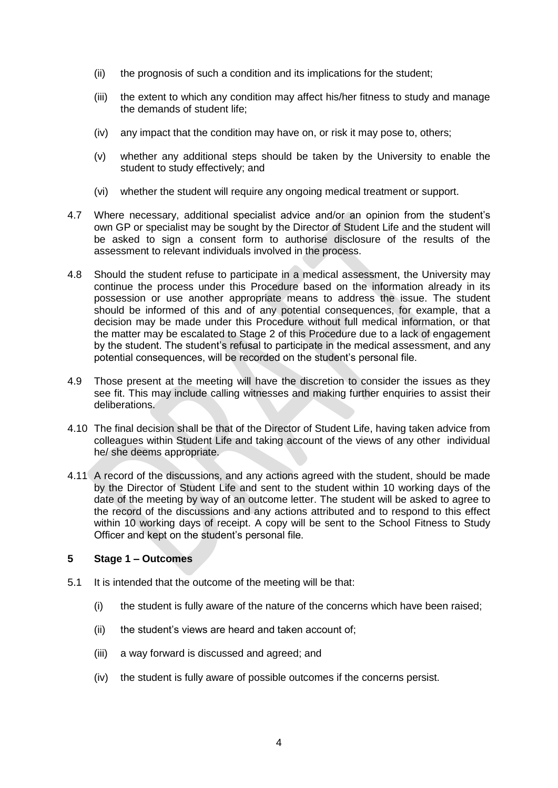- (ii) the prognosis of such a condition and its implications for the student;
- (iii) the extent to which any condition may affect his/her fitness to study and manage the demands of student life;
- (iv) any impact that the condition may have on, or risk it may pose to, others;
- (v) whether any additional steps should be taken by the University to enable the student to study effectively; and
- (vi) whether the student will require any ongoing medical treatment or support.
- 4.7 Where necessary, additional specialist advice and/or an opinion from the student's own GP or specialist may be sought by the Director of Student Life and the student will be asked to sign a consent form to authorise disclosure of the results of the assessment to relevant individuals involved in the process.
- 4.8 Should the student refuse to participate in a medical assessment, the University may continue the process under this Procedure based on the information already in its possession or use another appropriate means to address the issue. The student should be informed of this and of any potential consequences, for example, that a decision may be made under this Procedure without full medical information, or that the matter may be escalated to Stage 2 of this Procedure due to a lack of engagement by the student. The student's refusal to participate in the medical assessment, and any potential consequences, will be recorded on the student's personal file.
- 4.9 Those present at the meeting will have the discretion to consider the issues as they see fit. This may include calling witnesses and making further enquiries to assist their deliberations.
- 4.10 The final decision shall be that of the Director of Student Life, having taken advice from colleagues within Student Life and taking account of the views of any other individual he/ she deems appropriate.
- 4.11 A record of the discussions, and any actions agreed with the student, should be made by the Director of Student Life and sent to the student within 10 working days of the date of the meeting by way of an outcome letter. The student will be asked to agree to the record of the discussions and any actions attributed and to respond to this effect within 10 working days of receipt. A copy will be sent to the School Fitness to Study Officer and kept on the student's personal file.

# **5 Stage 1 – Outcomes**

- 5.1 It is intended that the outcome of the meeting will be that:
	- (i) the student is fully aware of the nature of the concerns which have been raised;
	- (ii) the student's views are heard and taken account of;
	- (iii) a way forward is discussed and agreed; and
	- (iv) the student is fully aware of possible outcomes if the concerns persist.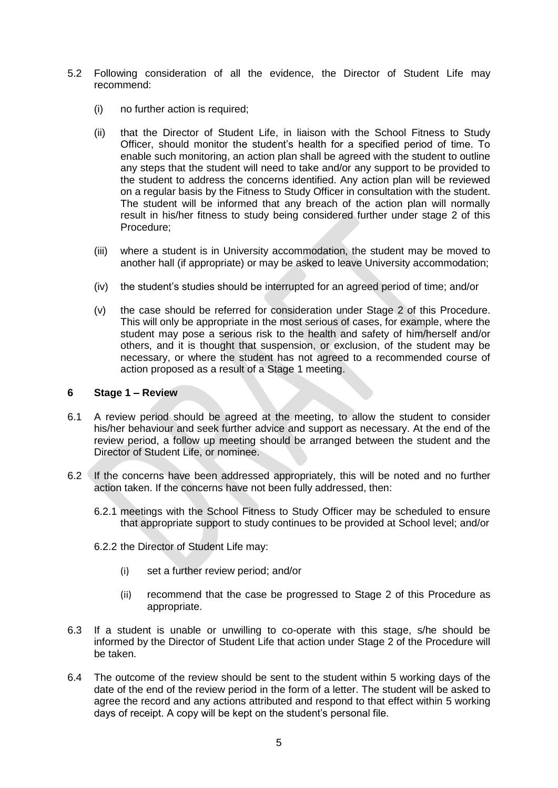- 5.2 Following consideration of all the evidence, the Director of Student Life may recommend:
	- (i) no further action is required;
	- (ii) that the Director of Student Life, in liaison with the School Fitness to Study Officer, should monitor the student's health for a specified period of time. To enable such monitoring, an action plan shall be agreed with the student to outline any steps that the student will need to take and/or any support to be provided to the student to address the concerns identified. Any action plan will be reviewed on a regular basis by the Fitness to Study Officer in consultation with the student. The student will be informed that any breach of the action plan will normally result in his/her fitness to study being considered further under stage 2 of this Procedure;
	- (iii) where a student is in University accommodation, the student may be moved to another hall (if appropriate) or may be asked to leave University accommodation;
	- (iv) the student's studies should be interrupted for an agreed period of time; and/or
	- (v) the case should be referred for consideration under Stage 2 of this Procedure. This will only be appropriate in the most serious of cases, for example, where the student may pose a serious risk to the health and safety of him/herself and/or others, and it is thought that suspension, or exclusion, of the student may be necessary, or where the student has not agreed to a recommended course of action proposed as a result of a Stage 1 meeting.

### **6 Stage 1 – Review**

- 6.1 A review period should be agreed at the meeting, to allow the student to consider his/her behaviour and seek further advice and support as necessary. At the end of the review period, a follow up meeting should be arranged between the student and the Director of Student Life, or nominee.
- 6.2 If the concerns have been addressed appropriately, this will be noted and no further action taken. If the concerns have not been fully addressed, then:
	- 6.2.1 meetings with the School Fitness to Study Officer may be scheduled to ensure that appropriate support to study continues to be provided at School level; and/or
	- 6.2.2 the Director of Student Life may:
		- (i) set a further review period; and/or
		- (ii) recommend that the case be progressed to Stage 2 of this Procedure as appropriate.
- 6.3 If a student is unable or unwilling to co-operate with this stage, s/he should be informed by the Director of Student Life that action under Stage 2 of the Procedure will be taken.
- 6.4 The outcome of the review should be sent to the student within 5 working days of the date of the end of the review period in the form of a letter. The student will be asked to agree the record and any actions attributed and respond to that effect within 5 working days of receipt. A copy will be kept on the student's personal file.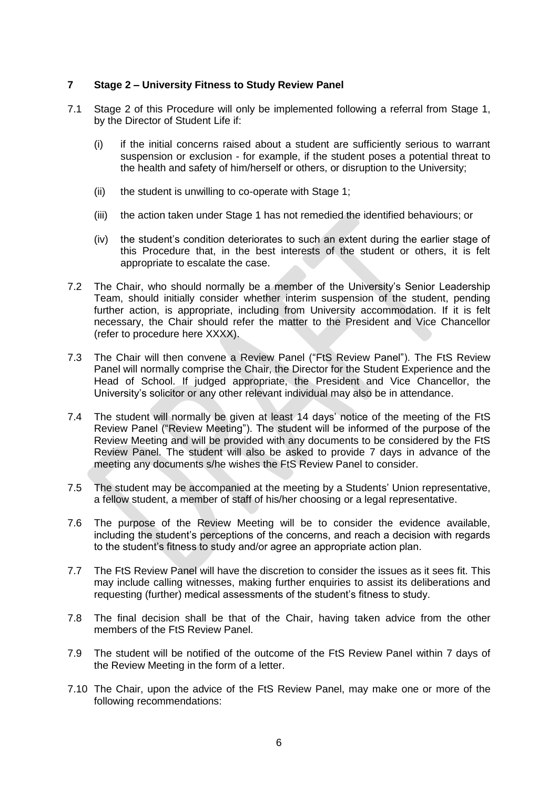# **7 Stage 2 – University Fitness to Study Review Panel**

- 7.1 Stage 2 of this Procedure will only be implemented following a referral from Stage 1, by the Director of Student Life if:
	- (i) if the initial concerns raised about a student are sufficiently serious to warrant suspension or exclusion - for example, if the student poses a potential threat to the health and safety of him/herself or others, or disruption to the University;
	- (ii) the student is unwilling to co-operate with Stage 1;
	- (iii) the action taken under Stage 1 has not remedied the identified behaviours; or
	- (iv) the student's condition deteriorates to such an extent during the earlier stage of this Procedure that, in the best interests of the student or others, it is felt appropriate to escalate the case.
- 7.2 The Chair, who should normally be a member of the University's Senior Leadership Team, should initially consider whether interim suspension of the student, pending further action, is appropriate, including from University accommodation. If it is felt necessary, the Chair should refer the matter to the President and Vice Chancellor (refer to procedure here XXXX).
- 7.3 The Chair will then convene a Review Panel ("FtS Review Panel"). The FtS Review Panel will normally comprise the Chair, the Director for the Student Experience and the Head of School. If judged appropriate, the President and Vice Chancellor, the University's solicitor or any other relevant individual may also be in attendance.
- 7.4 The student will normally be given at least 14 days' notice of the meeting of the FtS Review Panel ("Review Meeting"). The student will be informed of the purpose of the Review Meeting and will be provided with any documents to be considered by the FtS Review Panel. The student will also be asked to provide 7 days in advance of the meeting any documents s/he wishes the FtS Review Panel to consider.
- 7.5 The student may be accompanied at the meeting by a Students' Union representative, a fellow student, a member of staff of his/her choosing or a legal representative.
- 7.6 The purpose of the Review Meeting will be to consider the evidence available, including the student's perceptions of the concerns, and reach a decision with regards to the student's fitness to study and/or agree an appropriate action plan.
- 7.7 The FtS Review Panel will have the discretion to consider the issues as it sees fit. This may include calling witnesses, making further enquiries to assist its deliberations and requesting (further) medical assessments of the student's fitness to study.
- 7.8 The final decision shall be that of the Chair, having taken advice from the other members of the FtS Review Panel.
- 7.9 The student will be notified of the outcome of the FtS Review Panel within 7 days of the Review Meeting in the form of a letter.
- 7.10 The Chair, upon the advice of the FtS Review Panel, may make one or more of the following recommendations: